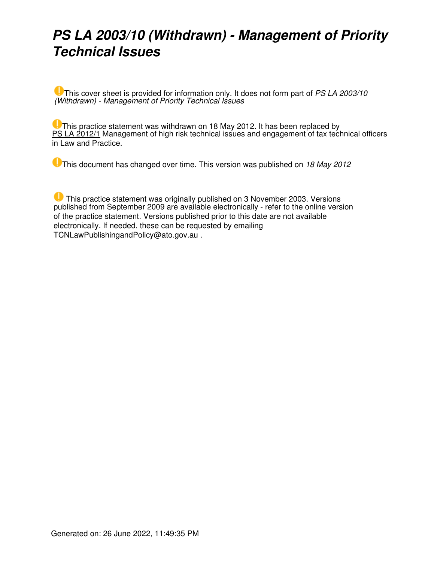# *PS LA 2003/10 (Withdrawn) - Management of Priority Technical Issues*

This cover sheet is provided for information only. It does not form part of *PS LA 2003/10 (Withdrawn) - Management of Priority Technical Issues*

**U** This practice statement was withdrawn on 18 May 2012. It has been replaced by [PS LA 2012/1](https://www.ato.gov.au/law/view/document?LocID=%22psr%2Fps20121%2Fnat%2Fato%22&PiT=20200806000001) Management of high risk technical issues and engagement of tax technical officers in Law and Practice.

This document has changed over time. This version was published on *18 May 2012*

 This practice statement was originally published on 3 November 2003. Versions published from September 2009 are available electronically - refer to the online version of the practice statement. Versions published prior to this date are not available electronically. If needed, these can be requested by emailing TCNLawPublishingandPolicy@ato.gov.au .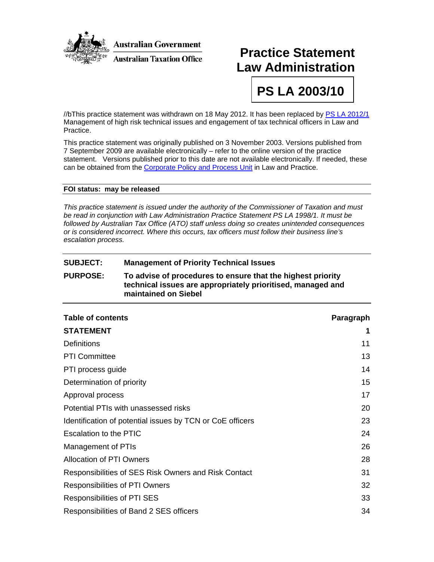

## **Practice Statement Law Administration**

**PS LA 2003/10** 

//bThis practice statement was withdrawn on 18 May 2012. It has been replaced by [PS LA 2012/1](http://atolaw/121029113041/ViewFrame.htm?LocID=%22psr%2Fps20121%2Fnat%2Fato%22) Management of high risk technical issues and engagement of tax technical officers in Law and Practice.

This practice statement was originally published on 3 November 2003. Versions published from 7 September 2009 are available electronically – refer to the online version of the practice statement. Versions published prior to this date are not available electronically. If needed, these can be obtained from the [Corporate Policy and Process Unit](mailto:LPSMaintenanceandSupport@ato.gov.au) in Law and Practice.

#### **FOI status: may be released**

*This practice statement is issued under the authority of the Commissioner of Taxation and must be read in conjunction with Law Administration Practice Statement PS LA 1998/1. It must be followed by Australian Tax Office (ATO) staff unless doing so creates unintended consequences or is considered incorrect. Where this occurs, tax officers must follow their business line's escalation process.* 

#### **SUBJECT: Management of Priority Technical Issues**

#### **PURPOSE: To advise of procedures to ensure that the highest priority technical issues are appropriately prioritised, managed and maintained on Siebel**

| <b>Table of contents</b>                                  | Paragraph |
|-----------------------------------------------------------|-----------|
| <b>STATEMENT</b>                                          | 1         |
| <b>Definitions</b>                                        | 11        |
| <b>PTI Committee</b>                                      | 13        |
| PTI process guide                                         | 14        |
| Determination of priority                                 | 15        |
| Approval process                                          | 17        |
| Potential PTIs with unassessed risks                      | 20        |
| Identification of potential issues by TCN or CoE officers | 23        |
| <b>Escalation to the PTIC</b>                             | 24        |
| Management of PTIs                                        | 26        |
| <b>Allocation of PTI Owners</b>                           | 28        |
| Responsibilities of SES Risk Owners and Risk Contact      | 31        |
| <b>Responsibilities of PTI Owners</b>                     | 32        |
| <b>Responsibilities of PTI SES</b>                        | 33        |
| Responsibilities of Band 2 SES officers                   | 34        |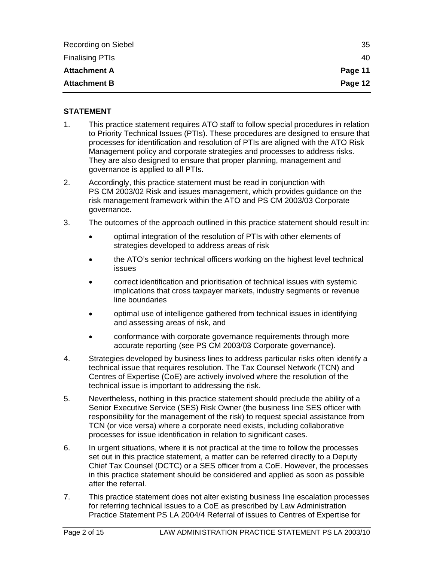| Recording on Siebel    | 35      |
|------------------------|---------|
| <b>Finalising PTIs</b> | 40      |
| <b>Attachment A</b>    | Page 11 |
| <b>Attachment B</b>    | Page 12 |

#### **STATEMENT**

- 1. This practice statement requires ATO staff to follow special procedures in relation to Priority Technical Issues (PTIs). These procedures are designed to ensure that processes for identification and resolution of PTIs are aligned with the ATO Risk Management policy and corporate strategies and processes to address risks. They are also designed to ensure that proper planning, management and governance is applied to all PTIs.
- 2. Accordingly, this practice statement must be read in conjunction with PS CM 2003/02 Risk and issues management, which provides guidance on the risk management framework within the ATO and PS CM 2003/03 Corporate governance.
- 3. The outcomes of the approach outlined in this practice statement should result in:
	- optimal integration of the resolution of PTIs with other elements of strategies developed to address areas of risk
	- the ATO's senior technical officers working on the highest level technical issues
	- correct identification and prioritisation of technical issues with systemic implications that cross taxpayer markets, industry segments or revenue line boundaries
	- optimal use of intelligence gathered from technical issues in identifying and assessing areas of risk, and
	- conformance with corporate governance requirements through more accurate reporting (see PS CM 2003/03 Corporate governance).
- 4. Strategies developed by business lines to address particular risks often identify a technical issue that requires resolution. The Tax Counsel Network (TCN) and Centres of Expertise (CoE) are actively involved where the resolution of the technical issue is important to addressing the risk.
- 5. Nevertheless, nothing in this practice statement should preclude the ability of a Senior Executive Service (SES) Risk Owner (the business line SES officer with responsibility for the management of the risk) to request special assistance from TCN (or vice versa) where a corporate need exists, including collaborative processes for issue identification in relation to significant cases.
- 6. In urgent situations, where it is not practical at the time to follow the processes set out in this practice statement, a matter can be referred directly to a Deputy Chief Tax Counsel (DCTC) or a SES officer from a CoE. However, the processes in this practice statement should be considered and applied as soon as possible after the referral.
- 7. This practice statement does not alter existing business line escalation processes for referring technical issues to a CoE as prescribed by Law Administration Practice Statement PS LA 2004/4 Referral of issues to Centres of Expertise for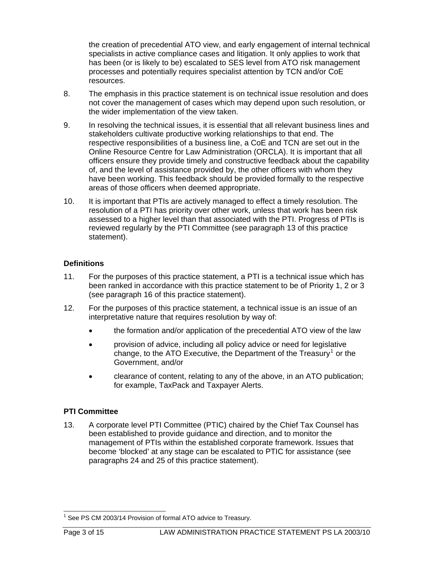the creation of precedential ATO view, and early engagement of internal technical specialists in active compliance cases and litigation. It only applies to work that has been (or is likely to be) escalated to SES level from ATO risk management processes and potentially requires specialist attention by TCN and/or CoE resources.

- 8. The emphasis in this practice statement is on technical issue resolution and does not cover the management of cases which may depend upon such resolution, or the wider implementation of the view taken.
- 9. In resolving the technical issues, it is essential that all relevant business lines and stakeholders cultivate productive working relationships to that end. The respective responsibilities of a business line, a CoE and TCN are set out in the Online Resource Centre for Law Administration (ORCLA). It is important that all officers ensure they provide timely and constructive feedback about the capability of, and the level of assistance provided by, the other officers with whom they have been working. This feedback should be provided formally to the respective areas of those officers when deemed appropriate.
- 10. It is important that PTIs are actively managed to effect a timely resolution. The resolution of a PTI has priority over other work, unless that work has been risk assessed to a higher level than that associated with the PTI. Progress of PTIs is reviewed regularly by the PTI Committee (see paragraph 13 of this practice statement).

#### **Definitions**

- 11. For the purposes of this practice statement, a PTI is a technical issue which has been ranked in accordance with this practice statement to be of Priority 1, 2 or 3 (see paragraph 16 of this practice statement).
- 12. For the purposes of this practice statement, a technical issue is an issue of an interpretative nature that requires resolution by way of:
	- the formation and/or application of the precedential ATO view of the law
	- provision of advice, including all policy advice or need for legislative change, to the ATO Executive, the Department of the Treasury<sup>[1](#page-3-0)</sup> or the Government, and/or
	- clearance of content, relating to any of the above, in an ATO publication; for example, TaxPack and Taxpayer Alerts.

#### **PTI Committee**

13. A corporate level PTI Committee (PTIC) chaired by the Chief Tax Counsel has been established to provide guidance and direction, and to monitor the management of PTIs within the established corporate framework. Issues that become 'blocked' at any stage can be escalated to PTIC for assistance (see paragraphs 24 and 25 of this practice statement).

<span id="page-3-0"></span> 1 See PS CM 2003/14 Provision of formal ATO advice to Treasury.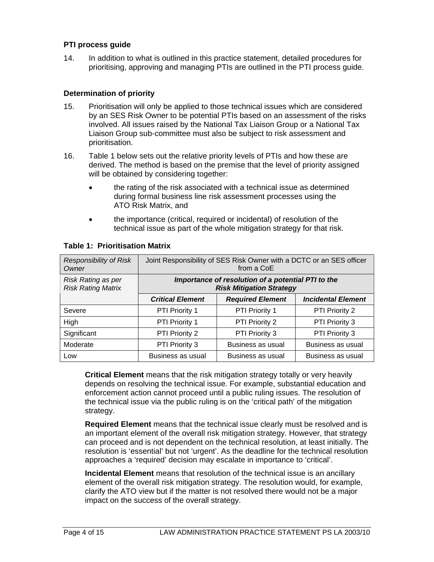#### **PTI process guide**

14. In addition to what is outlined in this practice statement, detailed procedures for prioritising, approving and managing PTIs are outlined in the PTI process guide.

#### **Determination of priority**

- 15. Prioritisation will only be applied to those technical issues which are considered by an SES Risk Owner to be potential PTIs based on an assessment of the risks involved. All issues raised by the National Tax Liaison Group or a National Tax Liaison Group sub-committee must also be subject to risk assessment and prioritisation.
- 16. Table 1 below sets out the relative priority levels of PTIs and how these are derived. The method is based on the premise that the level of priority assigned will be obtained by considering together:
	- the rating of the risk associated with a technical issue as determined during formal business line risk assessment processes using the ATO Risk Matrix, and
	- the importance (critical, required or incidental) of resolution of the technical issue as part of the whole mitigation strategy for that risk.

| <b>Responsibility of Risk</b><br>Owner                 | Joint Responsibility of SES Risk Owner with a DCTC or an SES officer<br>from a CoE    |                         |                           |
|--------------------------------------------------------|---------------------------------------------------------------------------------------|-------------------------|---------------------------|
| <b>Risk Rating as per</b><br><b>Risk Rating Matrix</b> | Importance of resolution of a potential PTI to the<br><b>Risk Mitigation Strategy</b> |                         |                           |
|                                                        | <b>Critical Element</b>                                                               | <b>Required Element</b> | <b>Incidental Element</b> |
| Severe                                                 | <b>PTI Priority 1</b>                                                                 | <b>PTI Priority 1</b>   | PTI Priority 2            |
| High                                                   | PTI Priority 1                                                                        | PTI Priority 2          | PTI Priority 3            |
| Significant                                            | PTI Priority 2                                                                        | PTI Priority 3          | PTI Priority 3            |
| Moderate                                               | PTI Priority 3                                                                        | Business as usual       | Business as usual         |
| Low                                                    | Business as usual                                                                     | Business as usual       | Business as usual         |

#### **Table 1: Prioritisation Matrix**

**Critical Element** means that the risk mitigation strategy totally or very heavily depends on resolving the technical issue. For example, substantial education and enforcement action cannot proceed until a public ruling issues. The resolution of the technical issue via the public ruling is on the 'critical path' of the mitigation strategy.

**Required Element** means that the technical issue clearly must be resolved and is an important element of the overall risk mitigation strategy. However, that strategy can proceed and is not dependent on the technical resolution, at least initially. The resolution is 'essential' but not 'urgent'. As the deadline for the technical resolution approaches a 'required' decision may escalate in importance to 'critical'.

**Incidental Element** means that resolution of the technical issue is an ancillary element of the overall risk mitigation strategy. The resolution would, for example, clarify the ATO view but if the matter is not resolved there would not be a major impact on the success of the overall strategy.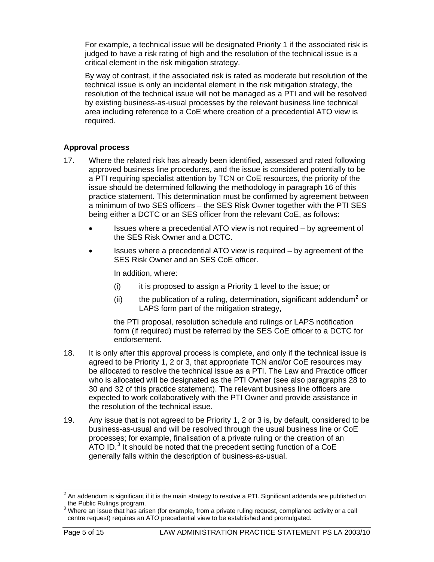For example, a technical issue will be designated Priority 1 if the associated risk is judged to have a risk rating of high and the resolution of the technical issue is a critical element in the risk mitigation strategy.

By way of contrast, if the associated risk is rated as moderate but resolution of the technical issue is only an incidental element in the risk mitigation strategy, the resolution of the technical issue will not be managed as a PTI and will be resolved by existing business-as-usual processes by the relevant business line technical area including reference to a CoE where creation of a precedential ATO view is required.

#### **Approval process**

- 17. Where the related risk has already been identified, assessed and rated following approved business line procedures, and the issue is considered potentially to be a PTI requiring specialist attention by TCN or CoE resources, the priority of the issue should be determined following the methodology in paragraph 16 of this practice statement. This determination must be confirmed by agreement between a minimum of two SES officers – the SES Risk Owner together with the PTI SES being either a DCTC or an SES officer from the relevant CoE, as follows:
	- Issues where a precedential ATO view is not required by agreement of the SES Risk Owner and a DCTC.
	- Issues where a precedential ATO view is required by agreement of the SES Risk Owner and an SES CoE officer.

In addition, where:

- $(i)$  it is proposed to assign a Priority 1 level to the issue; or
- (ii) the publication of a ruling, determination, significant addendum<sup>[2](#page-5-0)</sup> or LAPS form part of the mitigation strategy,

the PTI proposal, resolution schedule and rulings or LAPS notification form (if required) must be referred by the SES CoE officer to a DCTC for endorsement.

- 18. It is only after this approval process is complete, and only if the technical issue is agreed to be Priority 1, 2 or 3, that appropriate TCN and/or CoE resources may be allocated to resolve the technical issue as a PTI. The Law and Practice officer who is allocated will be designated as the PTI Owner (see also paragraphs 28 to 30 and 32 of this practice statement). The relevant business line officers are expected to work collaboratively with the PTI Owner and provide assistance in the resolution of the technical issue.
- 19. Any issue that is not agreed to be Priority 1, 2 or 3 is, by default, considered to be business-as-usual and will be resolved through the usual business line or CoE processes; for example, finalisation of a private ruling or the creation of an ATO ID. $3$  It should be noted that the precedent setting function of a CoE generally falls within the description of business-as-usual.

<span id="page-5-0"></span> 2 An addendum is significant if it is the main strategy to resolve a PTI. Significant addenda are published on the Public Rulings program.

<span id="page-5-1"></span><sup>&</sup>lt;sup>3</sup> Where an issue that has arisen (for example, from a private ruling request, compliance activity or a call centre request) requires an ATO precedential view to be established and promulgated.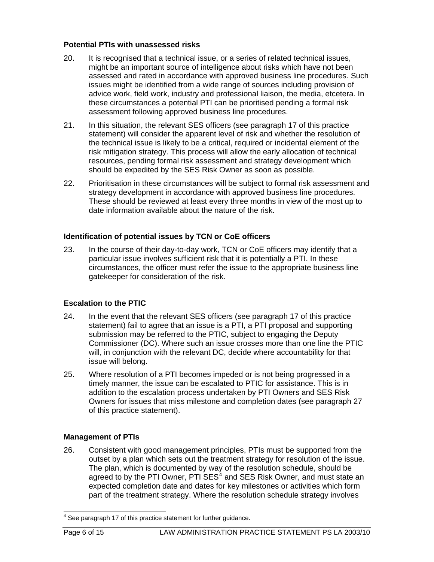#### **Potential PTIs with unassessed risks**

- 20. It is recognised that a technical issue, or a series of related technical issues, might be an important source of intelligence about risks which have not been assessed and rated in accordance with approved business line procedures. Such issues might be identified from a wide range of sources including provision of advice work, field work, industry and professional liaison, the media, etcetera. In these circumstances a potential PTI can be prioritised pending a formal risk assessment following approved business line procedures.
- 21. In this situation, the relevant SES officers (see paragraph 17 of this practice statement) will consider the apparent level of risk and whether the resolution of the technical issue is likely to be a critical, required or incidental element of the risk mitigation strategy. This process will allow the early allocation of technical resources, pending formal risk assessment and strategy development which should be expedited by the SES Risk Owner as soon as possible.
- 22. Prioritisation in these circumstances will be subject to formal risk assessment and strategy development in accordance with approved business line procedures. These should be reviewed at least every three months in view of the most up to date information available about the nature of the risk.

#### **Identification of potential issues by TCN or CoE officers**

23. In the course of their day-to-day work, TCN or CoE officers may identify that a particular issue involves sufficient risk that it is potentially a PTI. In these circumstances, the officer must refer the issue to the appropriate business line gatekeeper for consideration of the risk.

#### **Escalation to the PTIC**

- 24. In the event that the relevant SES officers (see paragraph 17 of this practice statement) fail to agree that an issue is a PTI, a PTI proposal and supporting submission may be referred to the PTIC, subject to engaging the Deputy Commissioner (DC). Where such an issue crosses more than one line the PTIC will, in conjunction with the relevant DC, decide where accountability for that issue will belong.
- 25. Where resolution of a PTI becomes impeded or is not being progressed in a timely manner, the issue can be escalated to PTIC for assistance. This is in addition to the escalation process undertaken by PTI Owners and SES Risk Owners for issues that miss milestone and completion dates (see paragraph 27 of this practice statement).

#### **Management of PTIs**

26. Consistent with good management principles, PTIs must be supported from the outset by a plan which sets out the treatment strategy for resolution of the issue. The plan, which is documented by way of the resolution schedule, should be agreed to by the PTI Owner, PTI SES<sup>[4](#page-6-0)</sup> and SES Risk Owner, and must state an expected completion date and dates for key milestones or activities which form part of the treatment strategy. Where the resolution schedule strategy involves

<span id="page-6-0"></span>l  $4$  See paragraph 17 of this practice statement for further guidance.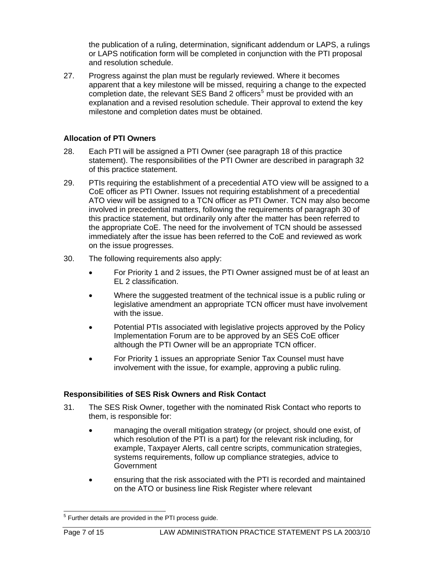the publication of a ruling, determination, significant addendum or LAPS, a rulings or LAPS notification form will be completed in conjunction with the PTI proposal and resolution schedule.

27. Progress against the plan must be regularly reviewed. Where it becomes apparent that a key milestone will be missed, requiring a change to the expected completion date, the relevant SES Band 2 officers<sup>[5](#page-7-0)</sup> must be provided with an explanation and a revised resolution schedule. Their approval to extend the key milestone and completion dates must be obtained.

#### **Allocation of PTI Owners**

- 28. Each PTI will be assigned a PTI Owner (see paragraph 18 of this practice statement). The responsibilities of the PTI Owner are described in paragraph 32 of this practice statement.
- 29. PTIs requiring the establishment of a precedential ATO view will be assigned to a CoE officer as PTI Owner. Issues not requiring establishment of a precedential ATO view will be assigned to a TCN officer as PTI Owner. TCN may also become involved in precedential matters, following the requirements of paragraph 30 of this practice statement, but ordinarily only after the matter has been referred to the appropriate CoE. The need for the involvement of TCN should be assessed immediately after the issue has been referred to the CoE and reviewed as work on the issue progresses.
- 30. The following requirements also apply:
	- For Priority 1 and 2 issues, the PTI Owner assigned must be of at least an EL 2 classification.
	- Where the suggested treatment of the technical issue is a public ruling or legislative amendment an appropriate TCN officer must have involvement with the issue.
	- Potential PTIs associated with legislative projects approved by the Policy Implementation Forum are to be approved by an SES CoE officer although the PTI Owner will be an appropriate TCN officer.
	- For Priority 1 issues an appropriate Senior Tax Counsel must have involvement with the issue, for example, approving a public ruling.

#### **Responsibilities of SES Risk Owners and Risk Contact**

- 31. The SES Risk Owner, together with the nominated Risk Contact who reports to them, is responsible for:
	- managing the overall mitigation strategy (or project, should one exist, of which resolution of the PTI is a part) for the relevant risk including, for example, Taxpayer Alerts, call centre scripts, communication strategies, systems requirements, follow up compliance strategies, advice to **Government**
	- ensuring that the risk associated with the PTI is recorded and maintained on the ATO or business line Risk Register where relevant

<span id="page-7-0"></span>l <sup>5</sup> Further details are provided in the PTI process guide.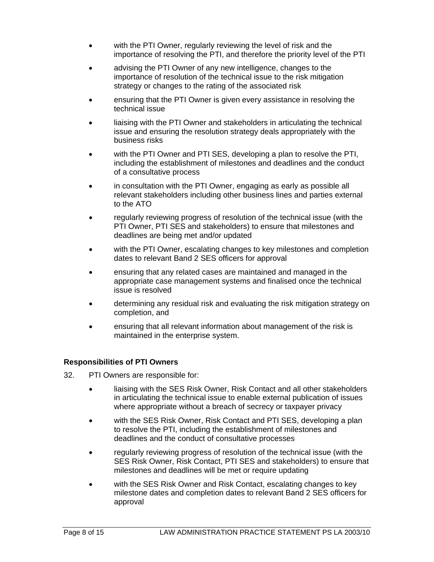- with the PTI Owner, regularly reviewing the level of risk and the importance of resolving the PTI, and therefore the priority level of the PTI
- advising the PTI Owner of any new intelligence, changes to the importance of resolution of the technical issue to the risk mitigation strategy or changes to the rating of the associated risk
- ensuring that the PTI Owner is given every assistance in resolving the technical issue
- liaising with the PTI Owner and stakeholders in articulating the technical issue and ensuring the resolution strategy deals appropriately with the business risks
- with the PTI Owner and PTI SES, developing a plan to resolve the PTI, including the establishment of milestones and deadlines and the conduct of a consultative process
- in consultation with the PTI Owner, engaging as early as possible all relevant stakeholders including other business lines and parties external to the ATO
- regularly reviewing progress of resolution of the technical issue (with the PTI Owner, PTI SES and stakeholders) to ensure that milestones and deadlines are being met and/or updated
- with the PTI Owner, escalating changes to key milestones and completion dates to relevant Band 2 SES officers for approval
- ensuring that any related cases are maintained and managed in the appropriate case management systems and finalised once the technical issue is resolved
- determining any residual risk and evaluating the risk mitigation strategy on completion, and
- ensuring that all relevant information about management of the risk is maintained in the enterprise system.

#### **Responsibilities of PTI Owners**

- 32. PTI Owners are responsible for:
	- liaising with the SES Risk Owner, Risk Contact and all other stakeholders in articulating the technical issue to enable external publication of issues where appropriate without a breach of secrecy or taxpayer privacy
	- with the SES Risk Owner, Risk Contact and PTI SES, developing a plan to resolve the PTI, including the establishment of milestones and deadlines and the conduct of consultative processes
	- regularly reviewing progress of resolution of the technical issue (with the SES Risk Owner, Risk Contact, PTI SES and stakeholders) to ensure that milestones and deadlines will be met or require updating
	- with the SES Risk Owner and Risk Contact, escalating changes to key milestone dates and completion dates to relevant Band 2 SES officers for approval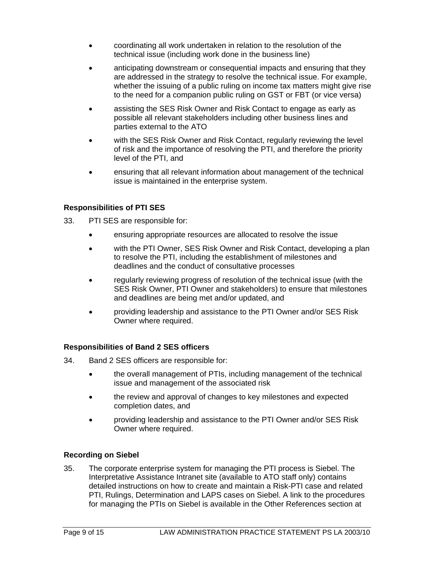- coordinating all work undertaken in relation to the resolution of the technical issue (including work done in the business line)
- anticipating downstream or consequential impacts and ensuring that they are addressed in the strategy to resolve the technical issue. For example, whether the issuing of a public ruling on income tax matters might give rise to the need for a companion public ruling on GST or FBT (or vice versa)
- assisting the SES Risk Owner and Risk Contact to engage as early as possible all relevant stakeholders including other business lines and parties external to the ATO
- with the SES Risk Owner and Risk Contact, regularly reviewing the level of risk and the importance of resolving the PTI, and therefore the priority level of the PTI, and
- ensuring that all relevant information about management of the technical issue is maintained in the enterprise system.

#### **Responsibilities of PTI SES**

- 33. PTI SES are responsible for:
	- ensuring appropriate resources are allocated to resolve the issue
	- with the PTI Owner, SES Risk Owner and Risk Contact, developing a plan to resolve the PTI, including the establishment of milestones and deadlines and the conduct of consultative processes
	- regularly reviewing progress of resolution of the technical issue (with the SES Risk Owner, PTI Owner and stakeholders) to ensure that milestones and deadlines are being met and/or updated, and
	- providing leadership and assistance to the PTI Owner and/or SES Risk Owner where required.

#### **Responsibilities of Band 2 SES officers**

- 34. Band 2 SES officers are responsible for:
	- the overall management of PTIs, including management of the technical issue and management of the associated risk
	- the review and approval of changes to key milestones and expected completion dates, and
	- providing leadership and assistance to the PTI Owner and/or SES Risk Owner where required.

#### **Recording on Siebel**

35. The corporate enterprise system for managing the PTI process is Siebel. The Interpretative Assistance Intranet site (available to ATO staff only) contains detailed instructions on how to create and maintain a Risk-PTI case and related PTI, Rulings, Determination and LAPS cases on Siebel. A link to the procedures for managing the PTIs on Siebel is available in the Other References section at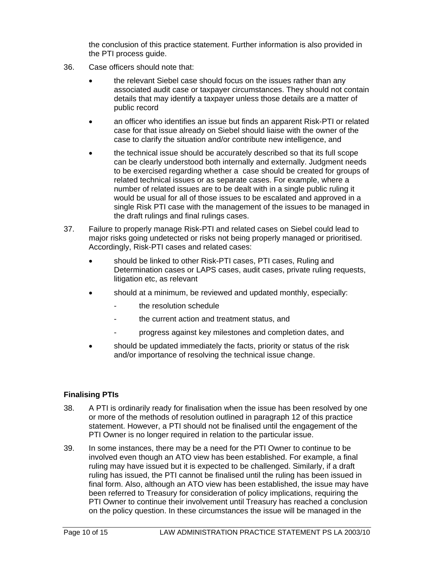the conclusion of this practice statement. Further information is also provided in the PTI process guide.

- 36. Case officers should note that:
	- the relevant Siebel case should focus on the issues rather than any associated audit case or taxpayer circumstances. They should not contain details that may identify a taxpayer unless those details are a matter of public record
	- an officer who identifies an issue but finds an apparent Risk-PTI or related case for that issue already on Siebel should liaise with the owner of the case to clarify the situation and/or contribute new intelligence, and
	- the technical issue should be accurately described so that its full scope can be clearly understood both internally and externally. Judgment needs to be exercised regarding whether a case should be created for groups of related technical issues or as separate cases. For example, where a number of related issues are to be dealt with in a single public ruling it would be usual for all of those issues to be escalated and approved in a single Risk PTI case with the management of the issues to be managed in the draft rulings and final rulings cases.
- 37. Failure to properly manage Risk-PTI and related cases on Siebel could lead to major risks going undetected or risks not being properly managed or prioritised. Accordingly, Risk-PTI cases and related cases:
	- should be linked to other Risk-PTI cases, PTI cases, Ruling and Determination cases or LAPS cases, audit cases, private ruling requests, litigation etc, as relevant
	- should at a minimum, be reviewed and updated monthly, especially:
		- the resolution schedule
		- the current action and treatment status, and
		- progress against key milestones and completion dates, and
	- should be updated immediately the facts, priority or status of the risk and/or importance of resolving the technical issue change.

#### **Finalising PTIs**

- 38. A PTI is ordinarily ready for finalisation when the issue has been resolved by one or more of the methods of resolution outlined in paragraph 12 of this practice statement. However, a PTI should not be finalised until the engagement of the PTI Owner is no longer required in relation to the particular issue.
- 39. In some instances, there may be a need for the PTI Owner to continue to be involved even though an ATO view has been established. For example, a final ruling may have issued but it is expected to be challenged. Similarly, if a draft ruling has issued, the PTI cannot be finalised until the ruling has been issued in final form. Also, although an ATO view has been established, the issue may have been referred to Treasury for consideration of policy implications, requiring the PTI Owner to continue their involvement until Treasury has reached a conclusion on the policy question. In these circumstances the issue will be managed in the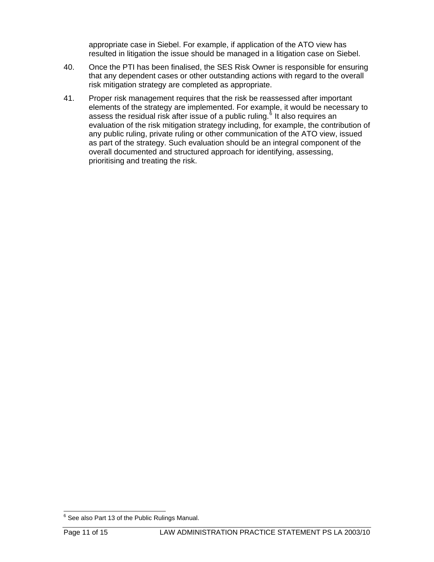appropriate case in Siebel. For example, if application of the ATO view has resulted in litigation the issue should be managed in a litigation case on Siebel.

- 40. Once the PTI has been finalised, the SES Risk Owner is responsible for ensuring that any dependent cases or other outstanding actions with regard to the overall risk mitigation strategy are completed as appropriate.
- 41. Proper risk management requires that the risk be reassessed after important elements of the strategy are implemented. For example, it would be necessary to assess the residual risk after issue of a public ruling.<sup>[6](#page-11-0)</sup> It also requires an evaluation of the risk mitigation strategy including, for example, the contribution of any public ruling, private ruling or other communication of the ATO view, issued as part of the strategy. Such evaluation should be an integral component of the overall documented and structured approach for identifying, assessing, prioritising and treating the risk.

<span id="page-11-0"></span><sup>&</sup>lt;sup>6</sup> See also Part 13 of the Public Rulings Manual.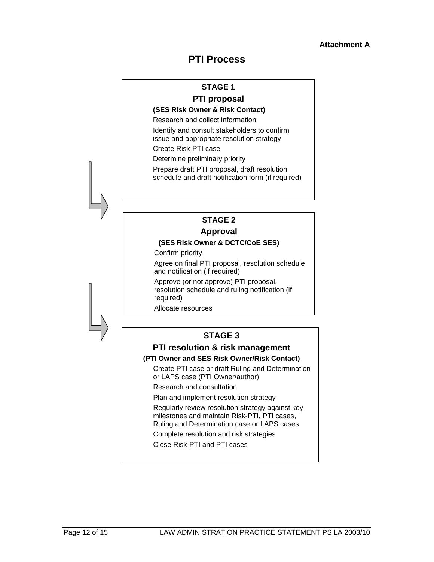## **PTI Process**

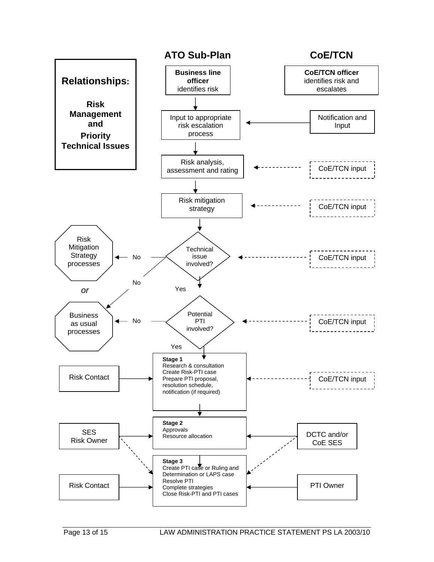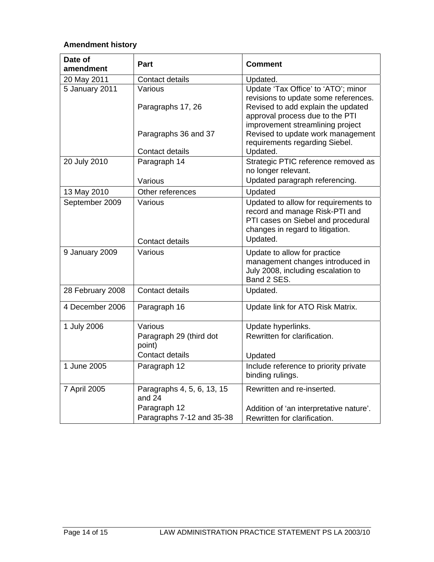## **Amendment history**

| Date of<br>amendment | <b>Part</b>                                                            | <b>Comment</b>                                                                                                                                                                           |
|----------------------|------------------------------------------------------------------------|------------------------------------------------------------------------------------------------------------------------------------------------------------------------------------------|
| 20 May 2011          | Contact details                                                        | Updated.                                                                                                                                                                                 |
| 5 January 2011       | Various<br>Paragraphs 17, 26                                           | Update 'Tax Office' to 'ATO'; minor<br>revisions to update some references.<br>Revised to add explain the updated<br>approval process due to the PTI<br>improvement streamlining project |
|                      | Paragraphs 36 and 37<br>Contact details                                | Revised to update work management<br>requirements regarding Siebel.<br>Updated.                                                                                                          |
| 20 July 2010         | Paragraph 14<br>Various                                                | Strategic PTIC reference removed as<br>no longer relevant.<br>Updated paragraph referencing.                                                                                             |
| 13 May 2010          | Other references                                                       | Updated                                                                                                                                                                                  |
| September 2009       | Various<br>Contact details                                             | Updated to allow for requirements to<br>record and manage Risk-PTI and<br>PTI cases on Siebel and procedural<br>changes in regard to litigation.<br>Updated.                             |
| 9 January 2009       | Various                                                                | Update to allow for practice<br>management changes introduced in<br>July 2008, including escalation to<br>Band 2 SES.                                                                    |
| 28 February 2008     | <b>Contact details</b>                                                 | Updated.                                                                                                                                                                                 |
| 4 December 2006      | Paragraph 16                                                           | Update link for ATO Risk Matrix.                                                                                                                                                         |
| 1 July 2006          | Various<br>Paragraph 29 (third dot<br>point)<br><b>Contact details</b> | Update hyperlinks.<br>Rewritten for clarification.<br>Updated                                                                                                                            |
| 1 June 2005          | Paragraph 12                                                           | Include reference to priority private<br>binding rulings.                                                                                                                                |
| 7 April 2005         | Paragraphs 4, 5, 6, 13, 15<br>and 24<br>Paragraph 12                   | Rewritten and re-inserted.<br>Addition of 'an interpretative nature'.                                                                                                                    |
|                      | Paragraphs 7-12 and 35-38                                              | Rewritten for clarification.                                                                                                                                                             |